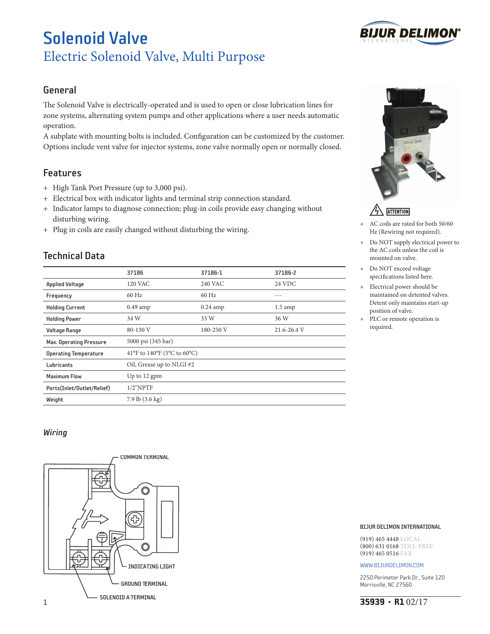# Solenoid Valve Electric Solenoid Valve, Multi Purpose



#### General

The Solenoid Valve is electrically-operated and is used to open or close lubrication lines for zone systems, alternating system pumps and other applications where a user needs automatic operation.

A subplate with mounting bolts is included. Configuration can be customized by the customer. Options include vent valve for injector systems, zone valve normally open or normally closed.

### Features

- + High Tank Port Pressure (up to 3,000 psi).
- + Electrical box with indicator lights and terminal strip connection standard.
- + Indicator lamps to diagnose connection; plug-in coils provide easy changing without disturbing wiring.
- + Plug in coils are easily changed without disturbing the wiring.

# Technical Data

|                                | 37186                       | 37186-1        | 37186-2           |  |
|--------------------------------|-----------------------------|----------------|-------------------|--|
| <b>Applied Voltage</b>         | <b>120 VAC</b>              | <b>240 VAC</b> | 24 VDC            |  |
| Frequency                      | $60$ Hz                     | $60$ Hz        | ---               |  |
| <b>Holding Current</b>         | $0.49$ amp                  | $0.24$ amp     | $1.5 \text{ amp}$ |  |
| <b>Holding Power</b>           | 34 W                        | 33 W           | 36 W              |  |
| <b>Voltage Range</b>           | 80-130 V                    | 180-250 V      | 21.6-26.4 V       |  |
| <b>Max. Operating Pressure</b> | 5000 psi (345 bar)          |                |                   |  |
| <b>Operating Temperature</b>   | 41°F to 140°F (5°C to 60°C) |                |                   |  |
| Lubricants                     | Oil, Grease up to NLGI #2   |                |                   |  |
| <b>Maximum Flow</b>            | Up to 12 gpm                |                |                   |  |
| Ports(Inlet/Outlet/Relief)     | $1/2$ "NPTF                 |                |                   |  |
| Weight                         | $7.9$ lb $(3.6 \text{ kg})$ |                |                   |  |
|                                |                             |                |                   |  |



# **ATTENTION**

- AC coils are rated for both 50/60 Hz (Rewiring not required).
- Do NOT supply electrical power to the AC coils unless the coil is mounted on valve.
- + Do NOT exceed voltage specifications listed here.
- + Electrical power should be maintained on detented valves. Detent only maintains start-up position of valve.
- PLC or remote operation is required.

#### *Wiring*



#### BIJUR DELIMON INTERNATIONAL

(919) 465 4448 LOCAL (800) 631 0168 TOLL-FREE (919) 465 0516 FAX

#### WWW.BIJURDELIMON.COM

2250 Perimeter Park Dr., Suite 120 Morrisville, NC 27560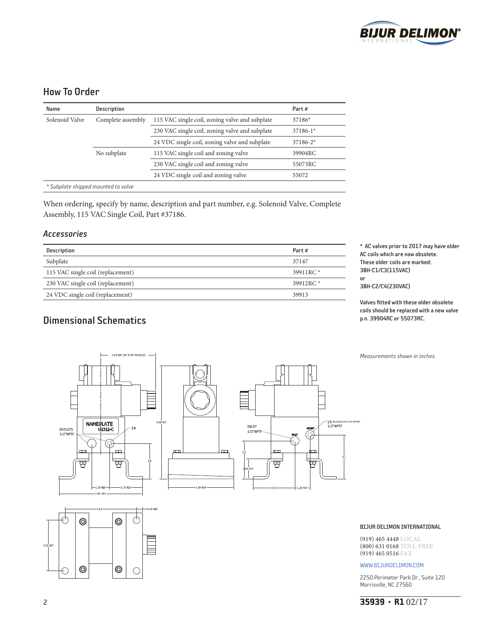

### How To Order

| Name           | <b>Description</b>                  |                                                | Part#        |
|----------------|-------------------------------------|------------------------------------------------|--------------|
| Solenoid Valve | Complete assembly                   | 115 VAC single coil, zoning valve and subplate | 37186*       |
|                |                                     | 230 VAC single coil, zoning valve and subplate | $37186 - 1*$ |
|                |                                     | 24 VDC single coil, zoning valve and subplate  | $37186 - 2*$ |
|                | No subplate                         | 115 VAC single coil and zoning valve           | 39904RC      |
|                |                                     | 230 VAC single coil and zoning valve           | 55073RC      |
|                |                                     | 24 VDC single coil and zoning valve            | 55072        |
|                | * Subplate shipped mounted to valve |                                                |              |

When ordering, specify by name, description and part number, e.g. Solenoid Valve, Complete Assembly, 115 VAC Single Coil, Part #37186.

#### *Accessories*

| Description                       | Part#                |
|-----------------------------------|----------------------|
| Subplate                          | 37147                |
| 115 VAC single coil (replacement) | 39911RC <sup>*</sup> |
| 230 VAC single coil (replacement) | 39912RC $*$          |
| 24 VDC single coil (replacement)  | 39913                |

\* AC valves prior to 2017 may have older AC coils which are now obsolete. These older coils are marked: 3BH-C1/C3(115VAC) or

3BH-C2/C4(230VAC)

Valves fitted with these older obsolete coils should be replaced with a new valve p.n. 39904RC or 55073RC.

## Dimensional Schematics



.<br>150 RFI  $\varphi$  $\circledcirc$  $\odot$  $\odot$  $\circledcirc$ C

# BIJUR DELIMON INTERNATIONAL

(919) 465 4448 LOCAL (800) 631 0168 TOLL-FREE (919) 465 0516 FAX

#### WWW.BIJURDELIMON.COM

2250 Perimeter Park Dr., Suite 120 Morrisville, NC 27560

#### 2 **35939 • R1** 02/17